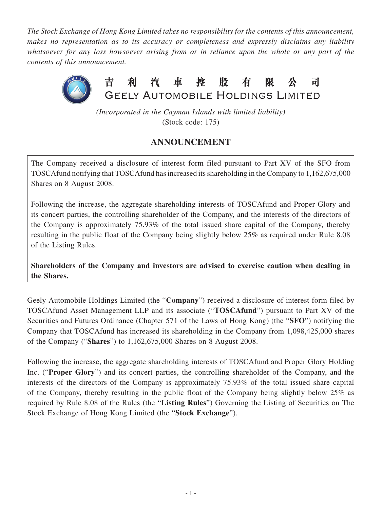*The Stock Exchange of Hong Kong Limited takes no responsibility for the contents of this announcement, makes no representation as to its accuracy or completeness and expressly disclaims any liability whatsoever for any loss howsoever arising from or in reliance upon the whole or any part of the contents of this announcement.*



*(Incorporated in the Cayman Islands with limited liability)* (Stock code: 175)

## **ANNOUNCEMENT**

The Company received a disclosure of interest form filed pursuant to Part XV of the SFO from TOSCAfund notifying that TOSCAfund has increased its shareholding in the Company to 1,162,675,000 Shares on 8 August 2008.

Following the increase, the aggregate shareholding interests of TOSCAfund and Proper Glory and its concert parties, the controlling shareholder of the Company, and the interests of the directors of the Company is approximately 75.93% of the total issued share capital of the Company, thereby resulting in the public float of the Company being slightly below 25% as required under Rule 8.08 of the Listing Rules.

**Shareholders of the Company and investors are advised to exercise caution when dealing in the Shares.**

Geely Automobile Holdings Limited (the "**Company**") received a disclosure of interest form filed by TOSCAfund Asset Management LLP and its associate ("**TOSCAfund**") pursuant to Part XV of the Securities and Futures Ordinance (Chapter 571 of the Laws of Hong Kong) (the "**SFO**") notifying the Company that TOSCAfund has increased its shareholding in the Company from 1,098,425,000 shares of the Company ("**Shares**") to 1,162,675,000 Shares on 8 August 2008.

Following the increase, the aggregate shareholding interests of TOSCAfund and Proper Glory Holding Inc. ("**Proper Glory**") and its concert parties, the controlling shareholder of the Company, and the interests of the directors of the Company is approximately 75.93% of the total issued share capital of the Company, thereby resulting in the public float of the Company being slightly below 25% as required by Rule 8.08 of the Rules (the "**Listing Rules**") Governing the Listing of Securities on The Stock Exchange of Hong Kong Limited (the "**Stock Exchange**").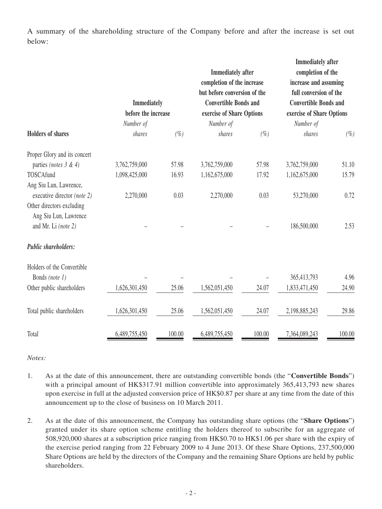A summary of the shareholding structure of the Company before and after the increase is set out below:

| <b>Holders of shares</b>                              | <b>Immediately</b><br>before the increase<br>Number of |        | <b>Immediately</b> after<br>completion of the increase<br>but before conversion of the<br><b>Convertible Bonds and</b><br>exercise of Share Options<br>Number of |        | <b>Immediately after</b><br>completion of the<br>increase and assuming<br>full conversion of the<br><b>Convertible Bonds and</b><br>exercise of Share Options<br>Number of |        |
|-------------------------------------------------------|--------------------------------------------------------|--------|------------------------------------------------------------------------------------------------------------------------------------------------------------------|--------|----------------------------------------------------------------------------------------------------------------------------------------------------------------------------|--------|
|                                                       | shares                                                 | $(\%)$ | shares                                                                                                                                                           | $(\%)$ | shares                                                                                                                                                                     | $(\%)$ |
| Proper Glory and its concert                          |                                                        |        |                                                                                                                                                                  |        |                                                                                                                                                                            |        |
| parties (notes $3 & 4$ )                              | 3,762,759,000                                          | 57.98  | 3,762,759,000                                                                                                                                                    | 57.98  | 3,762,759,000                                                                                                                                                              | 51.10  |
| TOSCAfund                                             | 1,098,425,000                                          | 16.93  | 1,162,675,000                                                                                                                                                    | 17.92  | 1,162,675,000                                                                                                                                                              | 15.79  |
| Ang Siu Lun, Lawrence,<br>executive director (note 2) | 2,270,000                                              | 0.03   | 2,270,000                                                                                                                                                        | 0.03   | 53,270,000                                                                                                                                                                 | 0.72   |
| Other directors excluding<br>Ang Siu Lun, Lawrence    |                                                        |        |                                                                                                                                                                  |        |                                                                                                                                                                            |        |
| and Mr. Li (note 2)                                   |                                                        |        |                                                                                                                                                                  |        | 186,500,000                                                                                                                                                                | 2.53   |
| Public shareholders:                                  |                                                        |        |                                                                                                                                                                  |        |                                                                                                                                                                            |        |
| Holders of the Convertible                            |                                                        |        |                                                                                                                                                                  |        |                                                                                                                                                                            |        |
| Bonds (note 1)                                        |                                                        |        |                                                                                                                                                                  |        | 365,413,793                                                                                                                                                                | 4.96   |
| Other public shareholders                             | 1,626,301,450                                          | 25.06  | 1,562,051,450                                                                                                                                                    | 24.07  | 1,833,471,450                                                                                                                                                              | 24.90  |
| Total public shareholders                             | 1,626,301,450                                          | 25.06  | 1,562,051,450                                                                                                                                                    | 24.07  | 2,198,885,243                                                                                                                                                              | 29.86  |
| Total                                                 | 6,489,755,450                                          | 100.00 | 6,489,755,450                                                                                                                                                    | 100.00 | 7,364,089,243                                                                                                                                                              | 100.00 |

*Notes:*

- 1. As at the date of this announcement, there are outstanding convertible bonds (the "**Convertible Bonds**") with a principal amount of HK\$317.91 million convertible into approximately 365,413,793 new shares upon exercise in full at the adjusted conversion price of HK\$0.87 per share at any time from the date of this announcement up to the close of business on 10 March 2011.
- 2. As at the date of this announcement, the Company has outstanding share options (the "**Share Options**") granted under its share option scheme entitling the holders thereof to subscribe for an aggregate of 508,920,000 shares at a subscription price ranging from HK\$0.70 to HK\$1.06 per share with the expiry of the exercise period ranging from 22 February 2009 to 4 June 2013. Of these Share Options, 237,500,000 Share Options are held by the directors of the Company and the remaining Share Options are held by public shareholders.